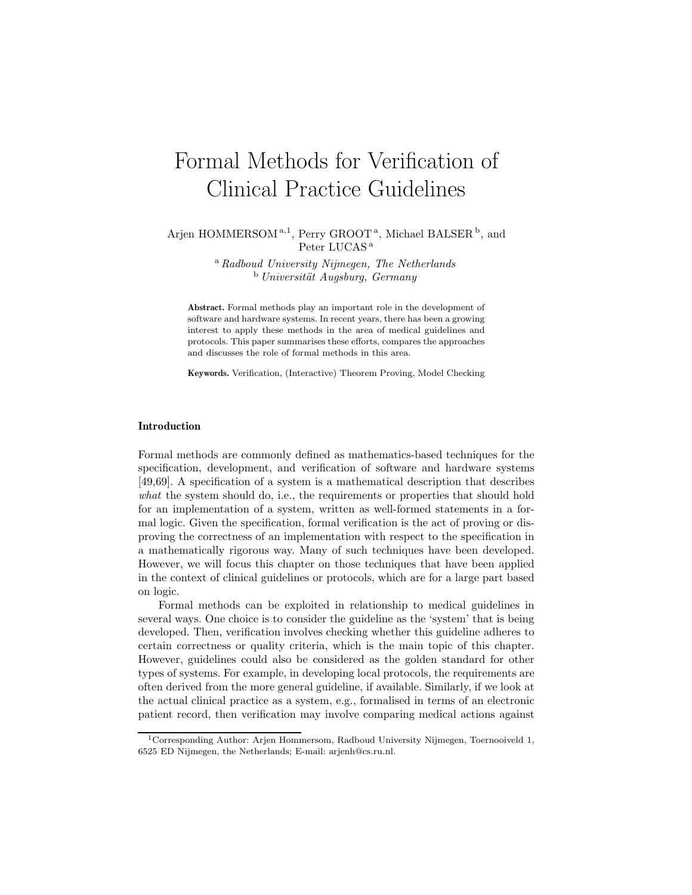# Formal Methods for Verification of Clinical Practice Guidelines

Arjen HOMMERSOM<sup>a,1</sup>, Perry GROOT<sup>a</sup>, Michael BALSER<sup>b</sup>, and Peter LUCAS <sup>a</sup>

> <sup>a</sup> Radboud University Nijmegen, The Netherlands  $b$  Universität Augsburg, Germany

Abstract. Formal methods play an important role in the development of software and hardware systems. In recent years, there has been a growing interest to apply these methods in the area of medical guidelines and protocols. This paper summarises these efforts, compares the approaches and discusses the role of formal methods in this area.

Keywords. Verification, (Interactive) Theorem Proving, Model Checking

#### Introduction

Formal methods are commonly defined as mathematics-based techniques for the specification, development, and verification of software and hardware systems [49,69]. A specification of a system is a mathematical description that describes what the system should do, i.e., the requirements or properties that should hold for an implementation of a system, written as well-formed statements in a formal logic. Given the specification, formal verification is the act of proving or disproving the correctness of an implementation with respect to the specification in a mathematically rigorous way. Many of such techniques have been developed. However, we will focus this chapter on those techniques that have been applied in the context of clinical guidelines or protocols, which are for a large part based on logic.

Formal methods can be exploited in relationship to medical guidelines in several ways. One choice is to consider the guideline as the 'system' that is being developed. Then, verification involves checking whether this guideline adheres to certain correctness or quality criteria, which is the main topic of this chapter. However, guidelines could also be considered as the golden standard for other types of systems. For example, in developing local protocols, the requirements are often derived from the more general guideline, if available. Similarly, if we look at the actual clinical practice as a system, e.g., formalised in terms of an electronic patient record, then verification may involve comparing medical actions against

<sup>&</sup>lt;sup>1</sup>Corresponding Author: Arjen Hommersom, Radboud University Nijmegen, Toernooiveld 1, 6525 ED Nijmegen, the Netherlands; E-mail: arjenh@cs.ru.nl.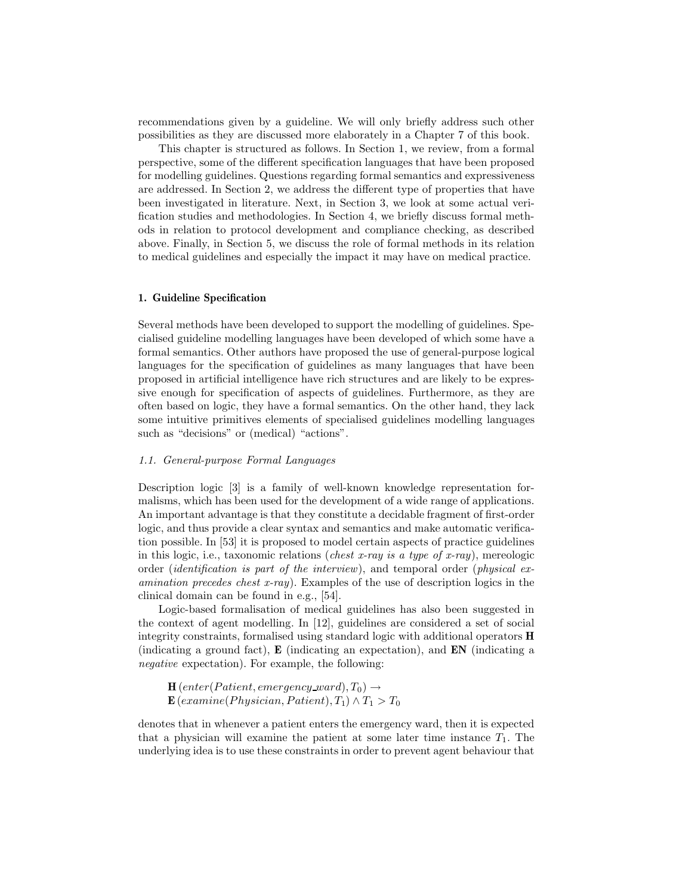recommendations given by a guideline. We will only briefly address such other possibilities as they are discussed more elaborately in a Chapter 7 of this book.

This chapter is structured as follows. In Section 1, we review, from a formal perspective, some of the different specification languages that have been proposed for modelling guidelines. Questions regarding formal semantics and expressiveness are addressed. In Section 2, we address the different type of properties that have been investigated in literature. Next, in Section 3, we look at some actual verification studies and methodologies. In Section 4, we briefly discuss formal methods in relation to protocol development and compliance checking, as described above. Finally, in Section 5, we discuss the role of formal methods in its relation to medical guidelines and especially the impact it may have on medical practice.

# 1. Guideline Specification

Several methods have been developed to support the modelling of guidelines. Specialised guideline modelling languages have been developed of which some have a formal semantics. Other authors have proposed the use of general-purpose logical languages for the specification of guidelines as many languages that have been proposed in artificial intelligence have rich structures and are likely to be expressive enough for specification of aspects of guidelines. Furthermore, as they are often based on logic, they have a formal semantics. On the other hand, they lack some intuitive primitives elements of specialised guidelines modelling languages such as "decisions" or (medical) "actions".

## 1.1. General-purpose Formal Languages

Description logic [3] is a family of well-known knowledge representation formalisms, which has been used for the development of a wide range of applications. An important advantage is that they constitute a decidable fragment of first-order logic, and thus provide a clear syntax and semantics and make automatic verification possible. In [53] it is proposed to model certain aspects of practice guidelines in this logic, i.e., taxonomic relations (*chest x-ray is a type of x-ray*), mereologic order *(identification is part of the interview)*, and temporal order *(physical ex*amination precedes chest x-ray). Examples of the use of description logics in the clinical domain can be found in e.g., [54].

Logic-based formalisation of medical guidelines has also been suggested in the context of agent modelling. In [12], guidelines are considered a set of social integrity constraints, formalised using standard logic with additional operators H (indicating a ground fact),  $\bf{E}$  (indicating an expectation), and  $\bf{EN}$  (indicating a negative expectation). For example, the following:

 $H(enter(Patient, emergency\_ward), T_0) \rightarrow$  $\mathbf{E}$ (examine(Physician, Patient),  $T_1$ )  $\wedge$   $T_1 > T_0$ 

denotes that in whenever a patient enters the emergency ward, then it is expected that a physician will examine the patient at some later time instance  $T_1$ . The underlying idea is to use these constraints in order to prevent agent behaviour that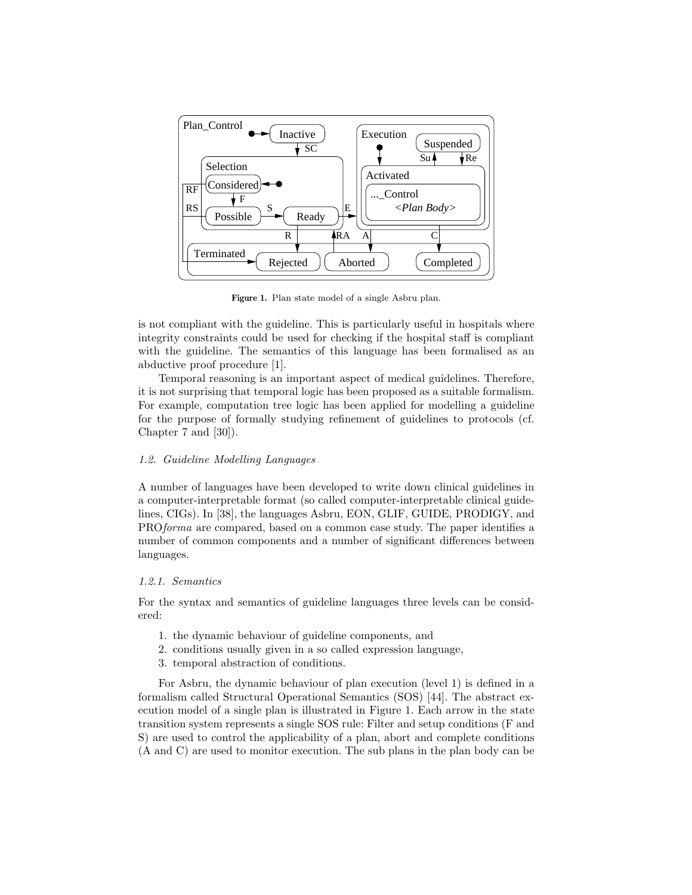

Figure 1. Plan state model of a single Asbru plan.

is not compliant with the guideline. This is particularly useful in hospitals where integrity constraints could be used for checking if the hospital staff is compliant with the guideline. The semantics of this language has been formalised as an abductive proof procedure [1].

Temporal reasoning is an important aspect of medical guidelines. Therefore, it is not surprising that temporal logic has been proposed as a suitable formalism. For example, computation tree logic has been applied for modelling a guideline for the purpose of formally studying refinement of guidelines to protocols (cf. Chapter 7 and [30]).

# 1.2. Guideline Modelling Languages

A number of languages have been developed to write down clinical guidelines in a computer-interpretable format (so called computer-interpretable clinical guidelines, CIGs). In [38], the languages Asbru, EON, GLIF, GUIDE, PRODIGY, and PROforma are compared, based on a common case study. The paper identifies a number of common components and a number of significant differences between languages.

# 1.2.1. Semantics

For the syntax and semantics of guideline languages three levels can be considered:

- 1. the dynamic behaviour of guideline components, and
- 2. conditions usually given in a so called expression language,
- 3. temporal abstraction of conditions.

For Asbru, the dynamic behaviour of plan execution (level 1) is defined in a formalism called Structural Operational Semantics (SOS) [44]. The abstract execution model of a single plan is illustrated in Figure 1. Each arrow in the state transition system represents a single SOS rule: Filter and setup conditions (F and S) are used to control the applicability of a plan, abort and complete conditions (A and C) are used to monitor execution. The sub plans in the plan body can be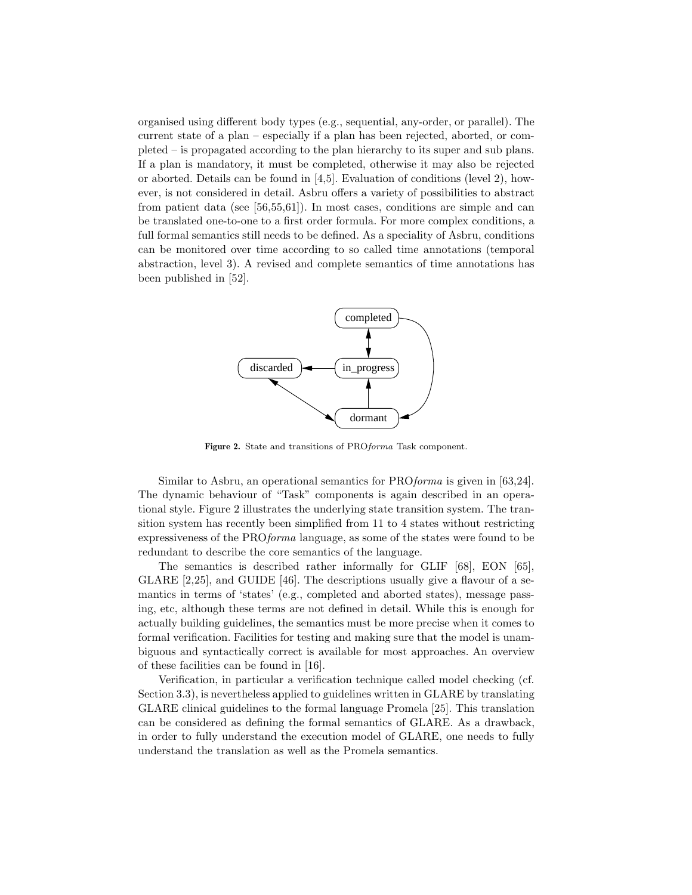organised using different body types (e.g., sequential, any-order, or parallel). The current state of a plan – especially if a plan has been rejected, aborted, or completed – is propagated according to the plan hierarchy to its super and sub plans. If a plan is mandatory, it must be completed, otherwise it may also be rejected or aborted. Details can be found in [4,5]. Evaluation of conditions (level 2), however, is not considered in detail. Asbru offers a variety of possibilities to abstract from patient data (see [56,55,61]). In most cases, conditions are simple and can be translated one-to-one to a first order formula. For more complex conditions, a full formal semantics still needs to be defined. As a speciality of Asbru, conditions can be monitored over time according to so called time annotations (temporal abstraction, level 3). A revised and complete semantics of time annotations has been published in [52].



Figure 2. State and transitions of PROforma Task component.

Similar to Asbru, an operational semantics for PROforma is given in [63,24]. The dynamic behaviour of "Task" components is again described in an operational style. Figure 2 illustrates the underlying state transition system. The transition system has recently been simplified from 11 to 4 states without restricting expressiveness of the PRO*forma* language, as some of the states were found to be redundant to describe the core semantics of the language.

The semantics is described rather informally for GLIF [68], EON [65], GLARE [2,25], and GUIDE [46]. The descriptions usually give a flavour of a semantics in terms of 'states' (e.g., completed and aborted states), message passing, etc, although these terms are not defined in detail. While this is enough for actually building guidelines, the semantics must be more precise when it comes to formal verification. Facilities for testing and making sure that the model is unambiguous and syntactically correct is available for most approaches. An overview of these facilities can be found in [16].

Verification, in particular a verification technique called model checking (cf. Section 3.3), is nevertheless applied to guidelines written in GLARE by translating GLARE clinical guidelines to the formal language Promela [25]. This translation can be considered as defining the formal semantics of GLARE. As a drawback, in order to fully understand the execution model of GLARE, one needs to fully understand the translation as well as the Promela semantics.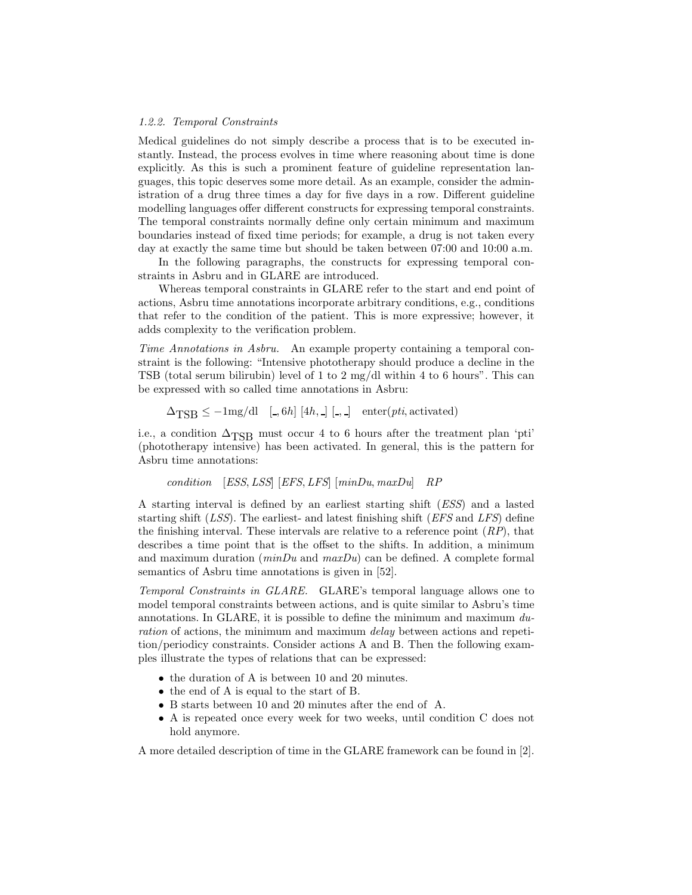## 1.2.2. Temporal Constraints

Medical guidelines do not simply describe a process that is to be executed instantly. Instead, the process evolves in time where reasoning about time is done explicitly. As this is such a prominent feature of guideline representation languages, this topic deserves some more detail. As an example, consider the administration of a drug three times a day for five days in a row. Different guideline modelling languages offer different constructs for expressing temporal constraints. The temporal constraints normally define only certain minimum and maximum boundaries instead of fixed time periods; for example, a drug is not taken every day at exactly the same time but should be taken between 07:00 and 10:00 a.m.

In the following paragraphs, the constructs for expressing temporal constraints in Asbru and in GLARE are introduced.

Whereas temporal constraints in GLARE refer to the start and end point of actions, Asbru time annotations incorporate arbitrary conditions, e.g., conditions that refer to the condition of the patient. This is more expressive; however, it adds complexity to the verification problem.

Time Annotations in Asbru. An example property containing a temporal constraint is the following: "Intensive phototherapy should produce a decline in the TSB (total serum bilirubin) level of 1 to 2 mg/dl within 4 to 6 hours". This can be expressed with so called time annotations in Asbru:

 $\Delta_{\text{TSR}} \leq -1 \text{mg/dl}$  [., 6h] [4h, .] [., .] enter(*pti*, activated)

i.e., a condition  $\Delta_{\text{TSB}}$  must occur 4 to 6 hours after the treatment plan 'pti' (phototherapy intensive) has been activated. In general, this is the pattern for Asbru time annotations:

```
condition [ESS, LSS] [EFS, LFS] [minDu, maxDu] RP
```
A starting interval is defined by an earliest starting shift (ESS) and a lasted starting shift  $(LSS)$ . The earliest- and latest finishing shift  $(EFS)$  and  $LFS$  define the finishing interval. These intervals are relative to a reference point  $(RP)$ , that describes a time point that is the offset to the shifts. In addition, a minimum and maximum duration  $(minDu \text{ and } maxDu)$  can be defined. A complete formal semantics of Asbru time annotations is given in [52].

Temporal Constraints in GLARE. GLARE's temporal language allows one to model temporal constraints between actions, and is quite similar to Asbru's time annotations. In GLARE, it is possible to define the minimum and maximum  $du$ ration of actions, the minimum and maximum *delay* between actions and repetition/periodicy constraints. Consider actions A and B. Then the following examples illustrate the types of relations that can be expressed:

- the duration of A is between 10 and 20 minutes.
- the end of A is equal to the start of B.
- B starts between 10 and 20 minutes after the end of A.
- A is repeated once every week for two weeks, until condition C does not hold anymore.

A more detailed description of time in the GLARE framework can be found in [2].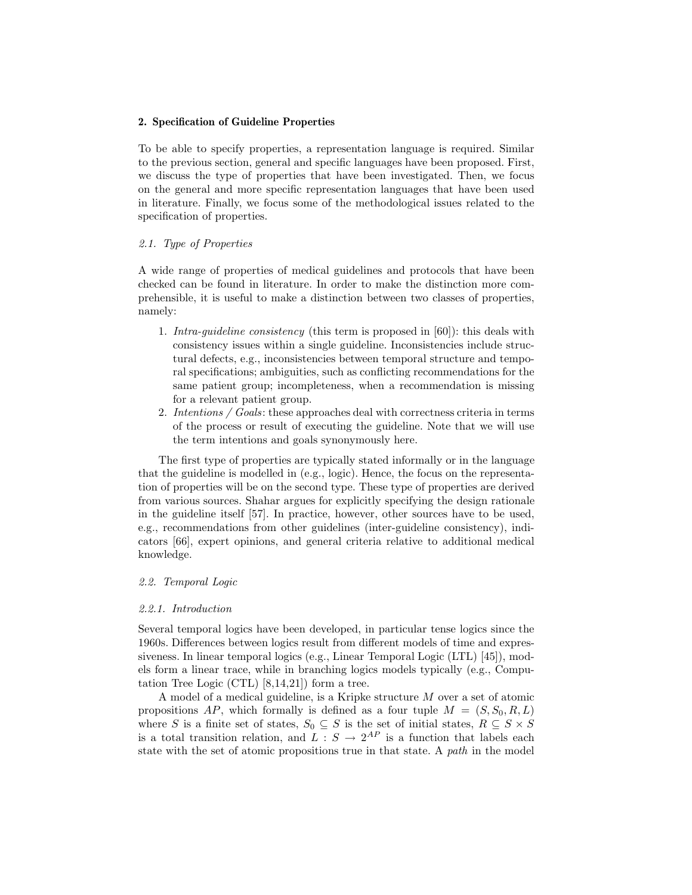## 2. Specification of Guideline Properties

To be able to specify properties, a representation language is required. Similar to the previous section, general and specific languages have been proposed. First, we discuss the type of properties that have been investigated. Then, we focus on the general and more specific representation languages that have been used in literature. Finally, we focus some of the methodological issues related to the specification of properties.

## 2.1. Type of Properties

A wide range of properties of medical guidelines and protocols that have been checked can be found in literature. In order to make the distinction more comprehensible, it is useful to make a distinction between two classes of properties, namely:

- 1. Intra-guideline consistency (this term is proposed in [60]): this deals with consistency issues within a single guideline. Inconsistencies include structural defects, e.g., inconsistencies between temporal structure and temporal specifications; ambiguities, such as conflicting recommendations for the same patient group; incompleteness, when a recommendation is missing for a relevant patient group.
- 2. Intentions / Goals: these approaches deal with correctness criteria in terms of the process or result of executing the guideline. Note that we will use the term intentions and goals synonymously here.

The first type of properties are typically stated informally or in the language that the guideline is modelled in (e.g., logic). Hence, the focus on the representation of properties will be on the second type. These type of properties are derived from various sources. Shahar argues for explicitly specifying the design rationale in the guideline itself [57]. In practice, however, other sources have to be used, e.g., recommendations from other guidelines (inter-guideline consistency), indicators [66], expert opinions, and general criteria relative to additional medical knowledge.

## 2.2. Temporal Logic

## 2.2.1. Introduction

Several temporal logics have been developed, in particular tense logics since the 1960s. Differences between logics result from different models of time and expressiveness. In linear temporal logics (e.g., Linear Temporal Logic (LTL) [45]), models form a linear trace, while in branching logics models typically (e.g., Computation Tree Logic (CTL) [8,14,21]) form a tree.

A model of a medical guideline, is a Kripke structure M over a set of atomic propositions AP, which formally is defined as a four tuple  $M = (S, S_0, R, L)$ where S is a finite set of states,  $S_0 \subseteq S$  is the set of initial states,  $R \subseteq S \times S$ is a total transition relation, and  $L : S \to 2^{AP}$  is a function that labels each state with the set of atomic propositions true in that state. A path in the model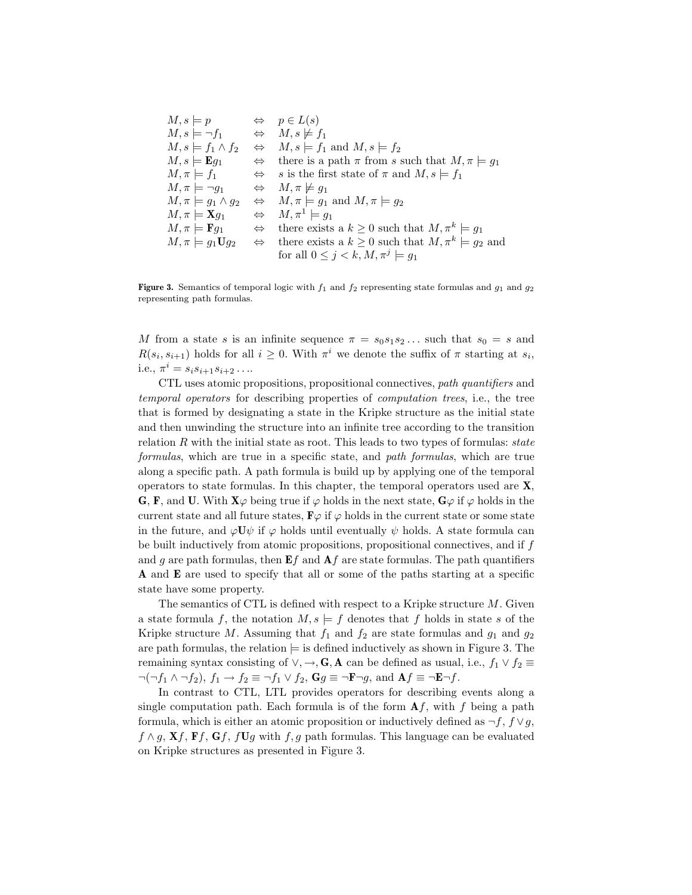| $M, s \models p$                    | $\Leftrightarrow$ $p \in L(s)$                                                   |
|-------------------------------------|----------------------------------------------------------------------------------|
| $M, s \models \neg f_1$             | $\Leftrightarrow M, s \not\models f_1$                                           |
| $M, s \models f_1 \wedge f_2$       | $\Leftrightarrow$ $M, s \models f_1 \text{ and } M, s \models f_2$               |
| $M, s \models \mathbf{E} g_1$       | $\Leftrightarrow$ there is a path $\pi$ from s such that $M, \pi \models g_1$    |
| $M, \pi \models f_1$                | $\Leftrightarrow$ s is the first state of $\pi$ and $M, s \models f_1$           |
| $M, \pi \models \neg g_1$           | $\Leftrightarrow M, \pi \not\models q_1$                                         |
| $M, \pi \models g_1 \land g_2$      | $\Leftrightarrow$ $M, \pi \models g_1 \text{ and } M, \pi \models g_2$           |
| $M, \pi \models \mathbf{X} g_1$     | $\Leftrightarrow M, \pi^1 \models q_1$                                           |
| $M, \pi \models \mathbf{F} g_1$     | $\Leftrightarrow$ there exists a $k \geq 0$ such that $M, \pi^k \models q_1$     |
| $M, \pi \models g_1 \mathbf{U} g_2$ | $\Leftrightarrow$ there exists a $k \geq 0$ such that $M, \pi^k \models g_2$ and |
|                                     | for all $0 \leq j < k, M, \pi^j \models g_1$                                     |

**Figure 3.** Semantics of temporal logic with  $f_1$  and  $f_2$  representing state formulas and  $g_1$  and  $g_2$ representing path formulas.

M from a state s is an infinite sequence  $\pi = s_0 s_1 s_2 \dots$  such that  $s_0 = s$  and  $R(s_i, s_{i+1})$  holds for all  $i \geq 0$ . With  $\pi^i$  we denote the suffix of  $\pi$  starting at  $s_i$ , i.e.,  $\pi^i = s_i s_{i+1} s_{i+2} \ldots$ 

CTL uses atomic propositions, propositional connectives, path quantifiers and temporal operators for describing properties of computation trees, i.e., the tree that is formed by designating a state in the Kripke structure as the initial state and then unwinding the structure into an infinite tree according to the transition relation  $R$  with the initial state as root. This leads to two types of formulas: state formulas, which are true in a specific state, and path formulas, which are true along a specific path. A path formula is build up by applying one of the temporal operators to state formulas. In this chapter, the temporal operators used are  $X$ , **G**, **F**, and **U**. With  $\mathbf{X}\varphi$  being true if  $\varphi$  holds in the next state,  $\mathbf{G}\varphi$  if  $\varphi$  holds in the current state and all future states,  $\mathbf{F}\varphi$  if  $\varphi$  holds in the current state or some state in the future, and  $\varphi \mathbf{U} \psi$  if  $\varphi$  holds until eventually  $\psi$  holds. A state formula can be built inductively from atomic propositions, propositional connectives, and if f and g are path formulas, then  $\mathbf{E}f$  and  $\mathbf{A}f$  are state formulas. The path quantifiers A and E are used to specify that all or some of the paths starting at a specific state have some property.

The semantics of CTL is defined with respect to a Kripke structure M. Given a state formula f, the notation  $M, s \models f$  denotes that f holds in state s of the Kripke structure M. Assuming that  $f_1$  and  $f_2$  are state formulas and  $g_1$  and  $g_2$ are path formulas, the relation  $\models$  is defined inductively as shown in Figure 3. The remaining syntax consisting of  $\vee, \rightarrow, \mathbf{G}, \mathbf{A}$  can be defined as usual, i.e.,  $f_1 \vee f_2 \equiv$  $\neg(\neg f_1 \land \neg f_2), f_1 \rightarrow f_2 \equiv \neg f_1 \lor f_2, \mathbf{G}g \equiv \neg \mathbf{F} \neg g$ , and  $\mathbf{A}f \equiv \neg \mathbf{E} \neg f$ .

In contrast to CTL, LTL provides operators for describing events along a single computation path. Each formula is of the form  $\mathbf{A}f$ , with f being a path formula, which is either an atomic proposition or inductively defined as  $\neg f$ ,  $f \vee g$ ,  $f \wedge g$ ,  $\mathbf{X}f$ ,  $\mathbf{F}f$ ,  $\mathbf{G}f$ ,  $f\mathbf{U}g$  with  $f, g$  path formulas. This language can be evaluated on Kripke structures as presented in Figure 3.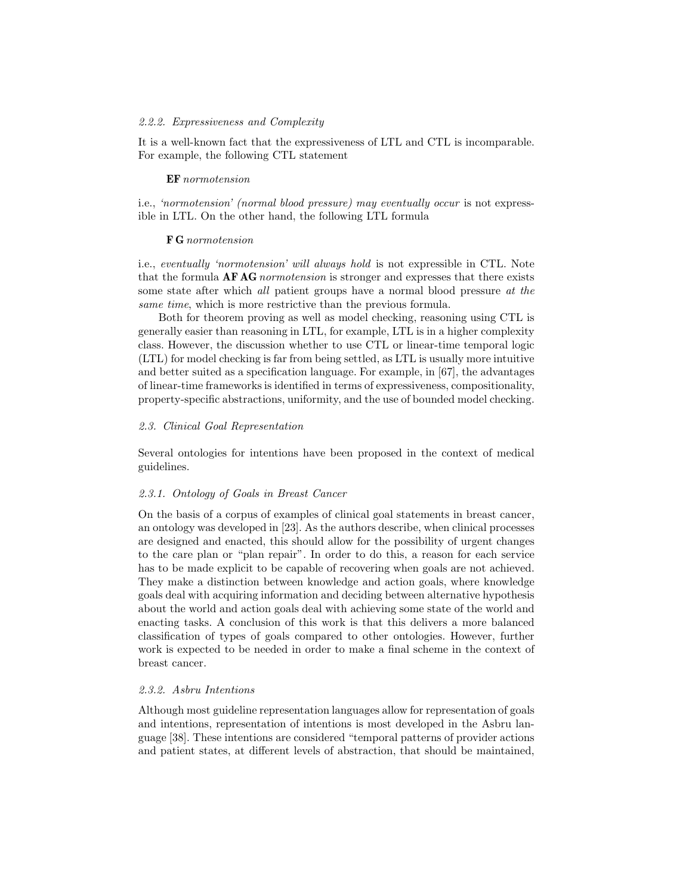#### 2.2.2. Expressiveness and Complexity

It is a well-known fact that the expressiveness of LTL and CTL is incomparable. For example, the following CTL statement

# EF normotension

i.e., 'normotension' (normal blood pressure) may eventually occur is not expressible in LTL. On the other hand, the following LTL formula

## F G normotension

i.e., eventually 'normotension' will always hold is not expressible in CTL. Note that the formula **AF AG** normotension is stronger and expresses that there exists some state after which all patient groups have a normal blood pressure at the same time, which is more restrictive than the previous formula.

Both for theorem proving as well as model checking, reasoning using CTL is generally easier than reasoning in LTL, for example, LTL is in a higher complexity class. However, the discussion whether to use CTL or linear-time temporal logic (LTL) for model checking is far from being settled, as LTL is usually more intuitive and better suited as a specification language. For example, in [67], the advantages of linear-time frameworks is identified in terms of expressiveness, compositionality, property-specific abstractions, uniformity, and the use of bounded model checking.

## 2.3. Clinical Goal Representation

Several ontologies for intentions have been proposed in the context of medical guidelines.

#### 2.3.1. Ontology of Goals in Breast Cancer

On the basis of a corpus of examples of clinical goal statements in breast cancer, an ontology was developed in [23]. As the authors describe, when clinical processes are designed and enacted, this should allow for the possibility of urgent changes to the care plan or "plan repair". In order to do this, a reason for each service has to be made explicit to be capable of recovering when goals are not achieved. They make a distinction between knowledge and action goals, where knowledge goals deal with acquiring information and deciding between alternative hypothesis about the world and action goals deal with achieving some state of the world and enacting tasks. A conclusion of this work is that this delivers a more balanced classification of types of goals compared to other ontologies. However, further work is expected to be needed in order to make a final scheme in the context of breast cancer.

# 2.3.2. Asbru Intentions

Although most guideline representation languages allow for representation of goals and intentions, representation of intentions is most developed in the Asbru language [38]. These intentions are considered "temporal patterns of provider actions and patient states, at different levels of abstraction, that should be maintained,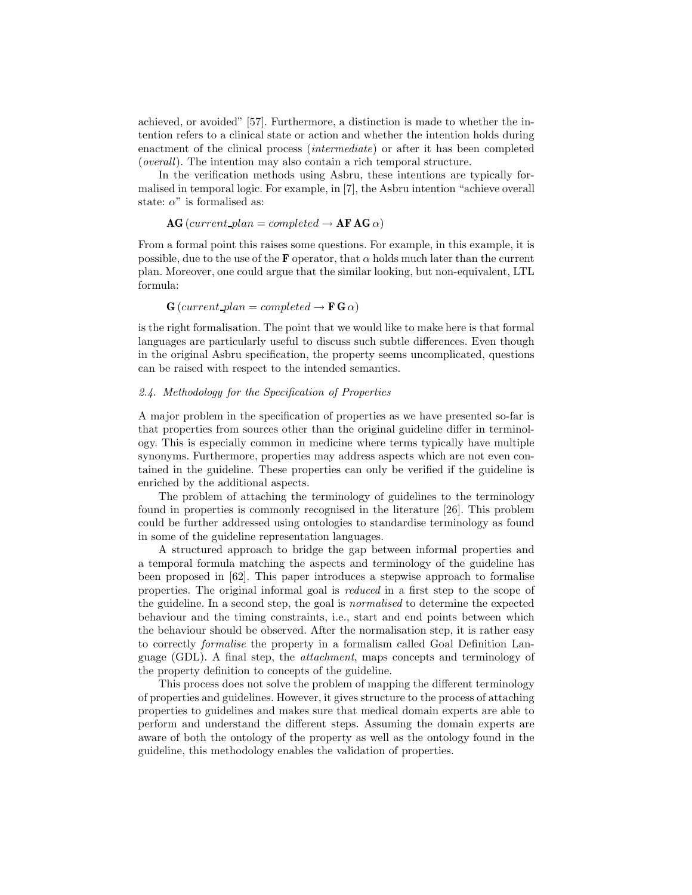achieved, or avoided" [57]. Furthermore, a distinction is made to whether the intention refers to a clinical state or action and whether the intention holds during enactment of the clinical process (intermediate) or after it has been completed (overall). The intention may also contain a rich temporal structure.

In the verification methods using Asbru, these intentions are typically formalised in temporal logic. For example, in [7], the Asbru intention "achieve overall state:  $\alpha$ " is formalised as:

 $AG$ (current plan = completed  $\rightarrow$  AF AG  $\alpha$ )

From a formal point this raises some questions. For example, in this example, it is possible, due to the use of the **F** operator, that  $\alpha$  holds much later than the current plan. Moreover, one could argue that the similar looking, but non-equivalent, LTL formula:

 $\mathbf{G}(current\_plan = completed \rightarrow \mathbf{F} \mathbf{G} \alpha)$ 

is the right formalisation. The point that we would like to make here is that formal languages are particularly useful to discuss such subtle differences. Even though in the original Asbru specification, the property seems uncomplicated, questions can be raised with respect to the intended semantics.

# 2.4. Methodology for the Specification of Properties

A major problem in the specification of properties as we have presented so-far is that properties from sources other than the original guideline differ in terminology. This is especially common in medicine where terms typically have multiple synonyms. Furthermore, properties may address aspects which are not even contained in the guideline. These properties can only be verified if the guideline is enriched by the additional aspects.

The problem of attaching the terminology of guidelines to the terminology found in properties is commonly recognised in the literature [26]. This problem could be further addressed using ontologies to standardise terminology as found in some of the guideline representation languages.

A structured approach to bridge the gap between informal properties and a temporal formula matching the aspects and terminology of the guideline has been proposed in [62]. This paper introduces a stepwise approach to formalise properties. The original informal goal is reduced in a first step to the scope of the guideline. In a second step, the goal is normalised to determine the expected behaviour and the timing constraints, i.e., start and end points between which the behaviour should be observed. After the normalisation step, it is rather easy to correctly formalise the property in a formalism called Goal Definition Language (GDL). A final step, the attachment, maps concepts and terminology of the property definition to concepts of the guideline.

This process does not solve the problem of mapping the different terminology of properties and guidelines. However, it gives structure to the process of attaching properties to guidelines and makes sure that medical domain experts are able to perform and understand the different steps. Assuming the domain experts are aware of both the ontology of the property as well as the ontology found in the guideline, this methodology enables the validation of properties.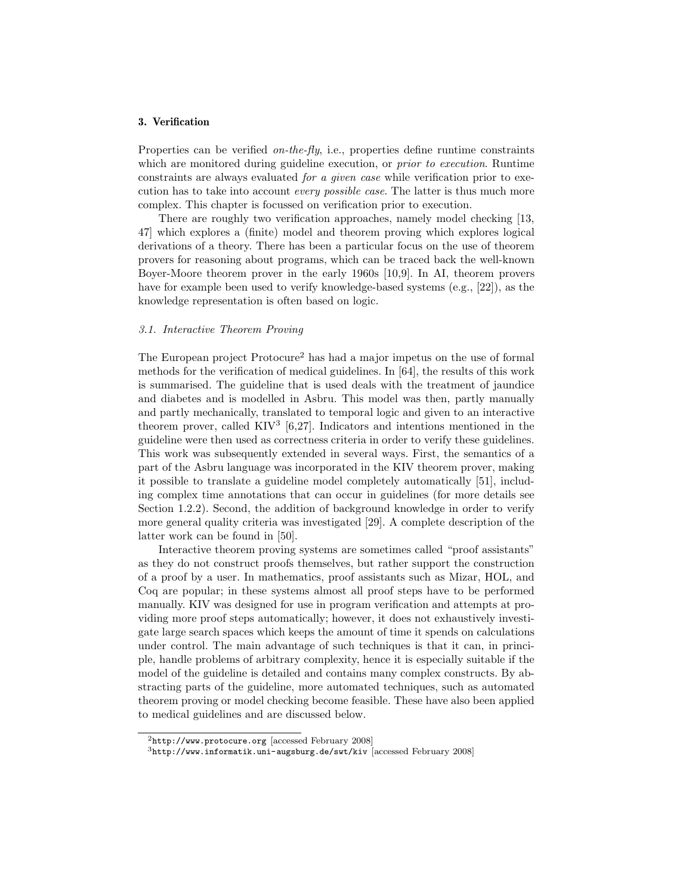#### 3. Verification

Properties can be verified *on-the-fly*, i.e., properties define runtime constraints which are monitored during guideline execution, or *prior to execution*. Runtime constraints are always evaluated for a given case while verification prior to execution has to take into account every possible case. The latter is thus much more complex. This chapter is focussed on verification prior to execution.

There are roughly two verification approaches, namely model checking [13, 47] which explores a (finite) model and theorem proving which explores logical derivations of a theory. There has been a particular focus on the use of theorem provers for reasoning about programs, which can be traced back the well-known Boyer-Moore theorem prover in the early 1960s [10,9]. In AI, theorem provers have for example been used to verify knowledge-based systems (e.g., [22]), as the knowledge representation is often based on logic.

# 3.1. Interactive Theorem Proving

The European project Protocure<sup>2</sup> has had a major impetus on the use of formal methods for the verification of medical guidelines. In [64], the results of this work is summarised. The guideline that is used deals with the treatment of jaundice and diabetes and is modelled in Asbru. This model was then, partly manually and partly mechanically, translated to temporal logic and given to an interactive theorem prover, called  $KIV^3$  [6,27]. Indicators and intentions mentioned in the guideline were then used as correctness criteria in order to verify these guidelines. This work was subsequently extended in several ways. First, the semantics of a part of the Asbru language was incorporated in the KIV theorem prover, making it possible to translate a guideline model completely automatically [51], including complex time annotations that can occur in guidelines (for more details see Section 1.2.2). Second, the addition of background knowledge in order to verify more general quality criteria was investigated [29]. A complete description of the latter work can be found in [50].

Interactive theorem proving systems are sometimes called "proof assistants" as they do not construct proofs themselves, but rather support the construction of a proof by a user. In mathematics, proof assistants such as Mizar, HOL, and Coq are popular; in these systems almost all proof steps have to be performed manually. KIV was designed for use in program verification and attempts at providing more proof steps automatically; however, it does not exhaustively investigate large search spaces which keeps the amount of time it spends on calculations under control. The main advantage of such techniques is that it can, in principle, handle problems of arbitrary complexity, hence it is especially suitable if the model of the guideline is detailed and contains many complex constructs. By abstracting parts of the guideline, more automated techniques, such as automated theorem proving or model checking become feasible. These have also been applied to medical guidelines and are discussed below.

 $^{2}$ http://www.protocure.org [accessed February 2008]

<sup>3</sup>http://www.informatik.uni-augsburg.de/swt/kiv [accessed February 2008]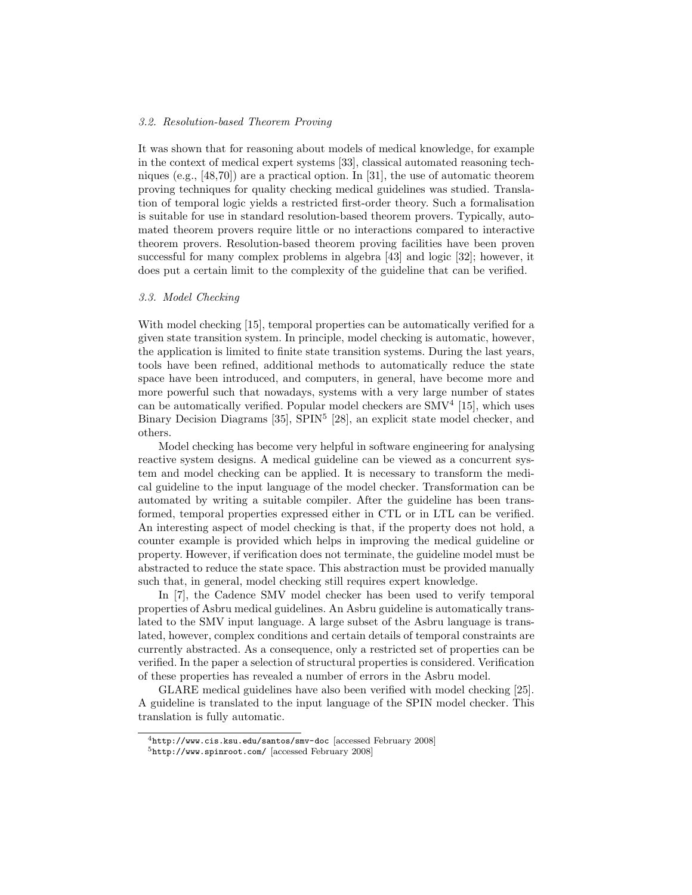#### 3.2. Resolution-based Theorem Proving

It was shown that for reasoning about models of medical knowledge, for example in the context of medical expert systems [33], classical automated reasoning techniques (e.g.,  $[48,70]$ ) are a practical option. In [31], the use of automatic theorem proving techniques for quality checking medical guidelines was studied. Translation of temporal logic yields a restricted first-order theory. Such a formalisation is suitable for use in standard resolution-based theorem provers. Typically, automated theorem provers require little or no interactions compared to interactive theorem provers. Resolution-based theorem proving facilities have been proven successful for many complex problems in algebra [43] and logic [32]; however, it does put a certain limit to the complexity of the guideline that can be verified.

## 3.3. Model Checking

With model checking [15], temporal properties can be automatically verified for a given state transition system. In principle, model checking is automatic, however, the application is limited to finite state transition systems. During the last years, tools have been refined, additional methods to automatically reduce the state space have been introduced, and computers, in general, have become more and more powerful such that nowadays, systems with a very large number of states can be automatically verified. Popular model checkers are  $\text{SMV}^4$  [15], which uses Binary Decision Diagrams [35], SPIN<sup>5</sup> [28], an explicit state model checker, and others.

Model checking has become very helpful in software engineering for analysing reactive system designs. A medical guideline can be viewed as a concurrent system and model checking can be applied. It is necessary to transform the medical guideline to the input language of the model checker. Transformation can be automated by writing a suitable compiler. After the guideline has been transformed, temporal properties expressed either in CTL or in LTL can be verified. An interesting aspect of model checking is that, if the property does not hold, a counter example is provided which helps in improving the medical guideline or property. However, if verification does not terminate, the guideline model must be abstracted to reduce the state space. This abstraction must be provided manually such that, in general, model checking still requires expert knowledge.

In [7], the Cadence SMV model checker has been used to verify temporal properties of Asbru medical guidelines. An Asbru guideline is automatically translated to the SMV input language. A large subset of the Asbru language is translated, however, complex conditions and certain details of temporal constraints are currently abstracted. As a consequence, only a restricted set of properties can be verified. In the paper a selection of structural properties is considered. Verification of these properties has revealed a number of errors in the Asbru model.

GLARE medical guidelines have also been verified with model checking [25]. A guideline is translated to the input language of the SPIN model checker. This translation is fully automatic.

 $^{4}$ http://www.cis.ksu.edu/santos/smv-doc [accessed February 2008]

<sup>5</sup>http://www.spinroot.com/ [accessed February 2008]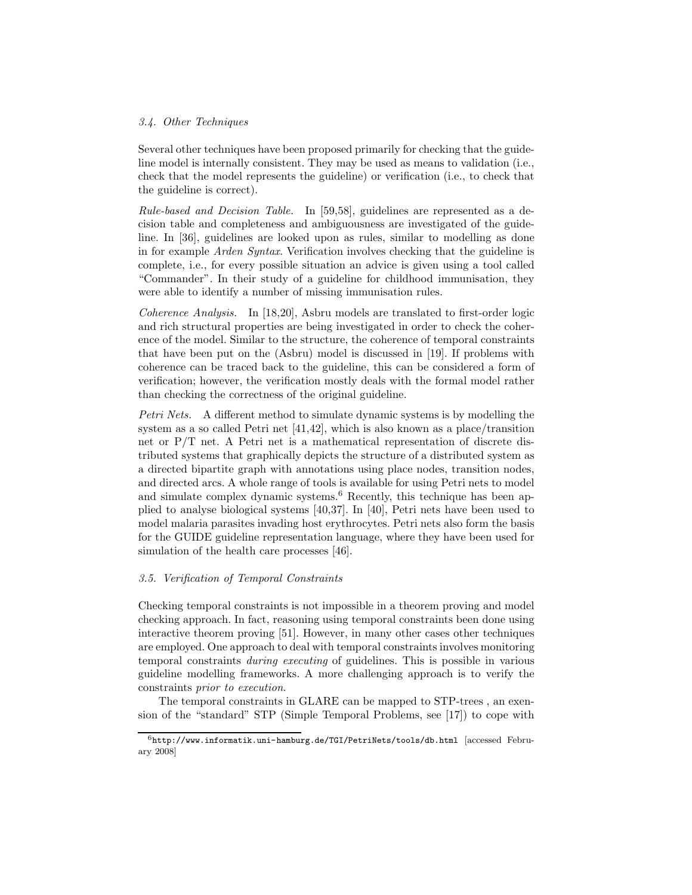## 3.4. Other Techniques

Several other techniques have been proposed primarily for checking that the guideline model is internally consistent. They may be used as means to validation (i.e., check that the model represents the guideline) or verification (i.e., to check that the guideline is correct).

Rule-based and Decision Table. In [59,58], guidelines are represented as a decision table and completeness and ambiguousness are investigated of the guideline. In [36], guidelines are looked upon as rules, similar to modelling as done in for example Arden Syntax. Verification involves checking that the guideline is complete, i.e., for every possible situation an advice is given using a tool called "Commander". In their study of a guideline for childhood immunisation, they were able to identify a number of missing immunisation rules.

Coherence Analysis. In [18,20], Asbru models are translated to first-order logic and rich structural properties are being investigated in order to check the coherence of the model. Similar to the structure, the coherence of temporal constraints that have been put on the (Asbru) model is discussed in [19]. If problems with coherence can be traced back to the guideline, this can be considered a form of verification; however, the verification mostly deals with the formal model rather than checking the correctness of the original guideline.

Petri Nets. A different method to simulate dynamic systems is by modelling the system as a so called Petri net [41,42], which is also known as a place/transition net or P/T net. A Petri net is a mathematical representation of discrete distributed systems that graphically depicts the structure of a distributed system as a directed bipartite graph with annotations using place nodes, transition nodes, and directed arcs. A whole range of tools is available for using Petri nets to model and simulate complex dynamic systems.<sup>6</sup> Recently, this technique has been applied to analyse biological systems [40,37]. In [40], Petri nets have been used to model malaria parasites invading host erythrocytes. Petri nets also form the basis for the GUIDE guideline representation language, where they have been used for simulation of the health care processes [46].

# 3.5. Verification of Temporal Constraints

Checking temporal constraints is not impossible in a theorem proving and model checking approach. In fact, reasoning using temporal constraints been done using interactive theorem proving [51]. However, in many other cases other techniques are employed. One approach to deal with temporal constraints involves monitoring temporal constraints during executing of guidelines. This is possible in various guideline modelling frameworks. A more challenging approach is to verify the constraints prior to execution.

The temporal constraints in GLARE can be mapped to STP-trees , an exension of the "standard" STP (Simple Temporal Problems, see [17]) to cope with

 $^6$ http://www.informatik.uni-hamburg.de/TGI/PetriNets/tools/db.html [accessed February 2008]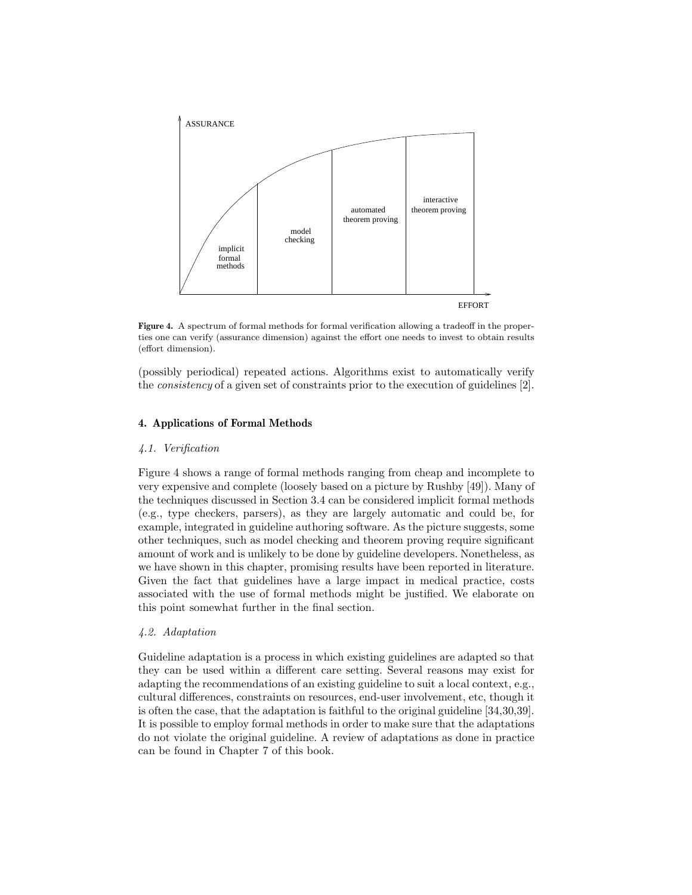

Figure 4. A spectrum of formal methods for formal verification allowing a tradeoff in the properties one can verify (assurance dimension) against the effort one needs to invest to obtain results (effort dimension).

(possibly periodical) repeated actions. Algorithms exist to automatically verify the *consistency* of a given set of constraints prior to the execution of guidelines [2].

# 4. Applications of Formal Methods

## 4.1. Verification

Figure 4 shows a range of formal methods ranging from cheap and incomplete to very expensive and complete (loosely based on a picture by Rushby [49]). Many of the techniques discussed in Section 3.4 can be considered implicit formal methods (e.g., type checkers, parsers), as they are largely automatic and could be, for example, integrated in guideline authoring software. As the picture suggests, some other techniques, such as model checking and theorem proving require significant amount of work and is unlikely to be done by guideline developers. Nonetheless, as we have shown in this chapter, promising results have been reported in literature. Given the fact that guidelines have a large impact in medical practice, costs associated with the use of formal methods might be justified. We elaborate on this point somewhat further in the final section.

# 4.2. Adaptation

Guideline adaptation is a process in which existing guidelines are adapted so that they can be used within a different care setting. Several reasons may exist for adapting the recommendations of an existing guideline to suit a local context, e.g., cultural differences, constraints on resources, end-user involvement, etc, though it is often the case, that the adaptation is faithful to the original guideline [34,30,39]. It is possible to employ formal methods in order to make sure that the adaptations do not violate the original guideline. A review of adaptations as done in practice can be found in Chapter 7 of this book.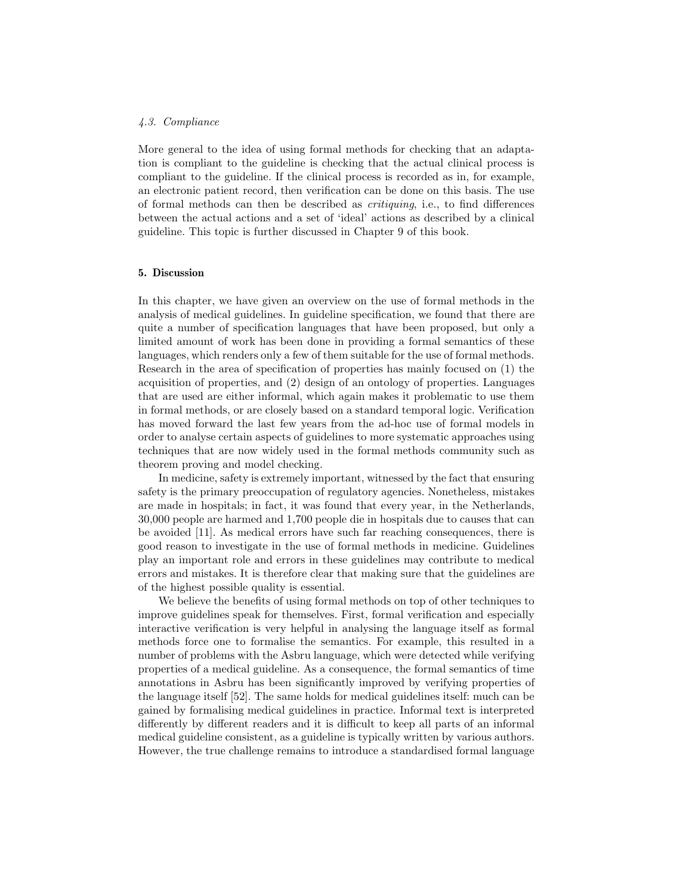## 4.3. Compliance

More general to the idea of using formal methods for checking that an adaptation is compliant to the guideline is checking that the actual clinical process is compliant to the guideline. If the clinical process is recorded as in, for example, an electronic patient record, then verification can be done on this basis. The use of formal methods can then be described as critiquing, i.e., to find differences between the actual actions and a set of 'ideal' actions as described by a clinical guideline. This topic is further discussed in Chapter 9 of this book.

# 5. Discussion

In this chapter, we have given an overview on the use of formal methods in the analysis of medical guidelines. In guideline specification, we found that there are quite a number of specification languages that have been proposed, but only a limited amount of work has been done in providing a formal semantics of these languages, which renders only a few of them suitable for the use of formal methods. Research in the area of specification of properties has mainly focused on (1) the acquisition of properties, and (2) design of an ontology of properties. Languages that are used are either informal, which again makes it problematic to use them in formal methods, or are closely based on a standard temporal logic. Verification has moved forward the last few years from the ad-hoc use of formal models in order to analyse certain aspects of guidelines to more systematic approaches using techniques that are now widely used in the formal methods community such as theorem proving and model checking.

In medicine, safety is extremely important, witnessed by the fact that ensuring safety is the primary preoccupation of regulatory agencies. Nonetheless, mistakes are made in hospitals; in fact, it was found that every year, in the Netherlands, 30,000 people are harmed and 1,700 people die in hospitals due to causes that can be avoided [11]. As medical errors have such far reaching consequences, there is good reason to investigate in the use of formal methods in medicine. Guidelines play an important role and errors in these guidelines may contribute to medical errors and mistakes. It is therefore clear that making sure that the guidelines are of the highest possible quality is essential.

We believe the benefits of using formal methods on top of other techniques to improve guidelines speak for themselves. First, formal verification and especially interactive verification is very helpful in analysing the language itself as formal methods force one to formalise the semantics. For example, this resulted in a number of problems with the Asbru language, which were detected while verifying properties of a medical guideline. As a consequence, the formal semantics of time annotations in Asbru has been significantly improved by verifying properties of the language itself [52]. The same holds for medical guidelines itself: much can be gained by formalising medical guidelines in practice. Informal text is interpreted differently by different readers and it is difficult to keep all parts of an informal medical guideline consistent, as a guideline is typically written by various authors. However, the true challenge remains to introduce a standardised formal language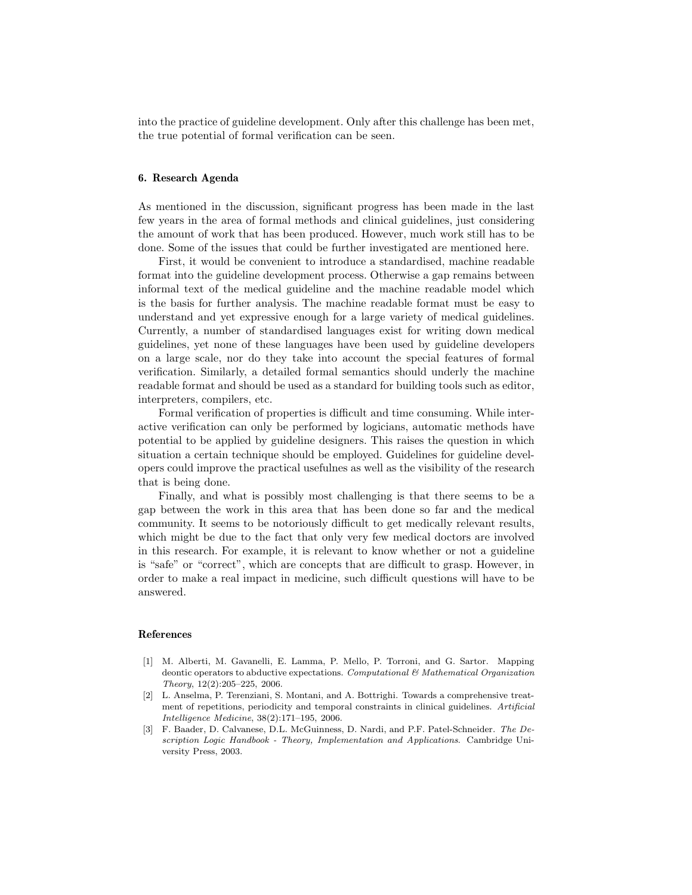into the practice of guideline development. Only after this challenge has been met, the true potential of formal verification can be seen.

#### 6. Research Agenda

As mentioned in the discussion, significant progress has been made in the last few years in the area of formal methods and clinical guidelines, just considering the amount of work that has been produced. However, much work still has to be done. Some of the issues that could be further investigated are mentioned here.

First, it would be convenient to introduce a standardised, machine readable format into the guideline development process. Otherwise a gap remains between informal text of the medical guideline and the machine readable model which is the basis for further analysis. The machine readable format must be easy to understand and yet expressive enough for a large variety of medical guidelines. Currently, a number of standardised languages exist for writing down medical guidelines, yet none of these languages have been used by guideline developers on a large scale, nor do they take into account the special features of formal verification. Similarly, a detailed formal semantics should underly the machine readable format and should be used as a standard for building tools such as editor, interpreters, compilers, etc.

Formal verification of properties is difficult and time consuming. While interactive verification can only be performed by logicians, automatic methods have potential to be applied by guideline designers. This raises the question in which situation a certain technique should be employed. Guidelines for guideline developers could improve the practical usefulnes as well as the visibility of the research that is being done.

Finally, and what is possibly most challenging is that there seems to be a gap between the work in this area that has been done so far and the medical community. It seems to be notoriously difficult to get medically relevant results, which might be due to the fact that only very few medical doctors are involved in this research. For example, it is relevant to know whether or not a guideline is "safe" or "correct", which are concepts that are difficult to grasp. However, in order to make a real impact in medicine, such difficult questions will have to be answered.

## References

- [1] M. Alberti, M. Gavanelli, E. Lamma, P. Mello, P. Torroni, and G. Sartor. Mapping deontic operators to abductive expectations. Computational  $\mathcal{C}_{\mathcal{A}}$  Mathematical Organization Theory, 12(2):205–225, 2006.
- [2] L. Anselma, P. Terenziani, S. Montani, and A. Bottrighi. Towards a comprehensive treatment of repetitions, periodicity and temporal constraints in clinical guidelines. Artificial Intelligence Medicine, 38(2):171–195, 2006.
- [3] F. Baader, D. Calvanese, D.L. McGuinness, D. Nardi, and P.F. Patel-Schneider. The Description Logic Handbook - Theory, Implementation and Applications. Cambridge University Press, 2003.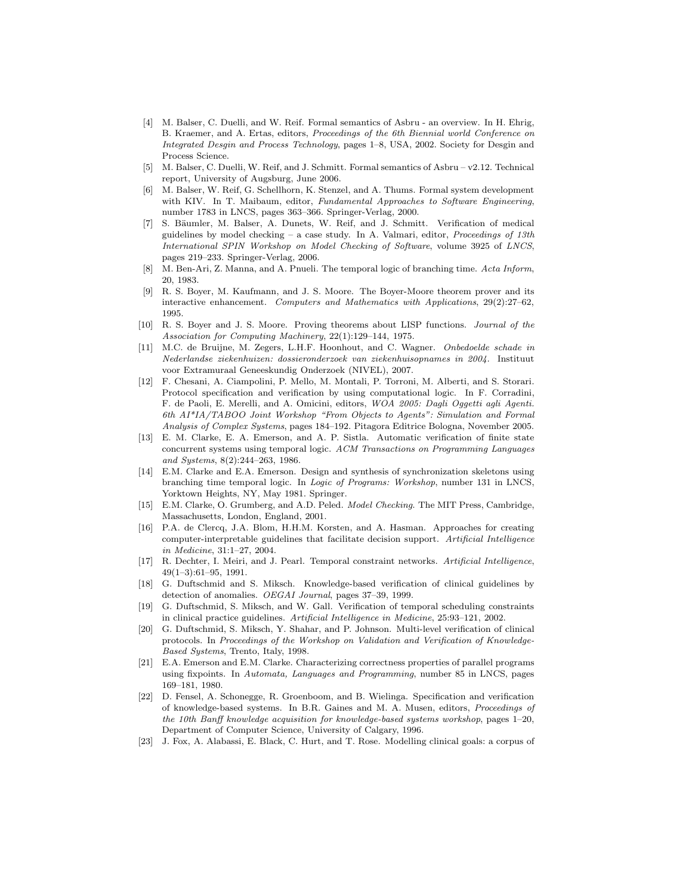- [4] M. Balser, C. Duelli, and W. Reif. Formal semantics of Asbru an overview. In H. Ehrig, B. Kraemer, and A. Ertas, editors, Proceedings of the 6th Biennial world Conference on Integrated Desgin and Process Technology, pages 1–8, USA, 2002. Society for Desgin and Process Science.
- [5] M. Balser, C. Duelli, W. Reif, and J. Schmitt. Formal semantics of Asbru v2.12. Technical report, University of Augsburg, June 2006.
- [6] M. Balser, W. Reif, G. Schellhorn, K. Stenzel, and A. Thums. Formal system development with KIV. In T. Maibaum, editor, Fundamental Approaches to Software Engineering, number 1783 in LNCS, pages 363–366. Springer-Verlag, 2000.
- [7] S. Bäumler, M. Balser, A. Dunets, W. Reif, and J. Schmitt. Verification of medical guidelines by model checking – a case study. In A. Valmari, editor, Proceedings of  $13th$ International SPIN Workshop on Model Checking of Software, volume 3925 of LNCS, pages 219–233. Springer-Verlag, 2006.
- [8] M. Ben-Ari, Z. Manna, and A. Pnueli. The temporal logic of branching time. Acta Inform, 20, 1983.
- [9] R. S. Boyer, M. Kaufmann, and J. S. Moore. The Boyer-Moore theorem prover and its interactive enhancement. Computers and Mathematics with Applications, 29(2):27–62, 1995.
- [10] R. S. Boyer and J. S. Moore. Proving theorems about LISP functions. Journal of the Association for Computing Machinery, 22(1):129–144, 1975.
- [11] M.C. de Bruijne, M. Zegers, L.H.F. Hoonhout, and C. Wagner. Onbedoelde schade in Nederlandse ziekenhuizen: dossieronderzoek van ziekenhuisopnames in 2004. Instituut voor Extramuraal Geneeskundig Onderzoek (NIVEL), 2007.
- [12] F. Chesani, A. Ciampolini, P. Mello, M. Montali, P. Torroni, M. Alberti, and S. Storari. Protocol specification and verification by using computational logic. In F. Corradini, F. de Paoli, E. Merelli, and A. Omicini, editors, WOA 2005: Dagli Oggetti agli Agenti. 6th AI\*IA/TABOO Joint Workshop "From Objects to Agents": Simulation and Formal Analysis of Complex Systems, pages 184–192. Pitagora Editrice Bologna, November 2005.
- [13] E. M. Clarke, E. A. Emerson, and A. P. Sistla. Automatic verification of finite state concurrent systems using temporal logic. ACM Transactions on Programming Languages and Systems, 8(2):244–263, 1986.
- [14] E.M. Clarke and E.A. Emerson. Design and synthesis of synchronization skeletons using branching time temporal logic. In Logic of Programs: Workshop, number 131 in LNCS, Yorktown Heights, NY, May 1981. Springer.
- [15] E.M. Clarke, O. Grumberg, and A.D. Peled. Model Checking. The MIT Press, Cambridge, Massachusetts, London, England, 2001.
- [16] P.A. de Clercq, J.A. Blom, H.H.M. Korsten, and A. Hasman. Approaches for creating computer-interpretable guidelines that facilitate decision support. Artificial Intelligence in Medicine, 31:1–27, 2004.
- [17] R. Dechter, I. Meiri, and J. Pearl. Temporal constraint networks. Artificial Intelligence, 49(1–3):61–95, 1991.
- [18] G. Duftschmid and S. Miksch. Knowledge-based verification of clinical guidelines by detection of anomalies. OEGAI Journal, pages 37–39, 1999.
- [19] G. Duftschmid, S. Miksch, and W. Gall. Verification of temporal scheduling constraints in clinical practice guidelines. Artificial Intelligence in Medicine, 25:93–121, 2002.
- [20] G. Duftschmid, S. Miksch, Y. Shahar, and P. Johnson. Multi-level verification of clinical protocols. In Proceedings of the Workshop on Validation and Verification of Knowledge-Based Systems, Trento, Italy, 1998.
- [21] E.A. Emerson and E.M. Clarke. Characterizing correctness properties of parallel programs using fixpoints. In Automata, Languages and Programming, number 85 in LNCS, pages 169–181, 1980.
- [22] D. Fensel, A. Schonegge, R. Groenboom, and B. Wielinga. Specification and verification of knowledge-based systems. In B.R. Gaines and M. A. Musen, editors, Proceedings of the 10th Banff knowledge acquisition for knowledge-based systems workshop, pages 1–20, Department of Computer Science, University of Calgary, 1996.
- [23] J. Fox, A. Alabassi, E. Black, C. Hurt, and T. Rose. Modelling clinical goals: a corpus of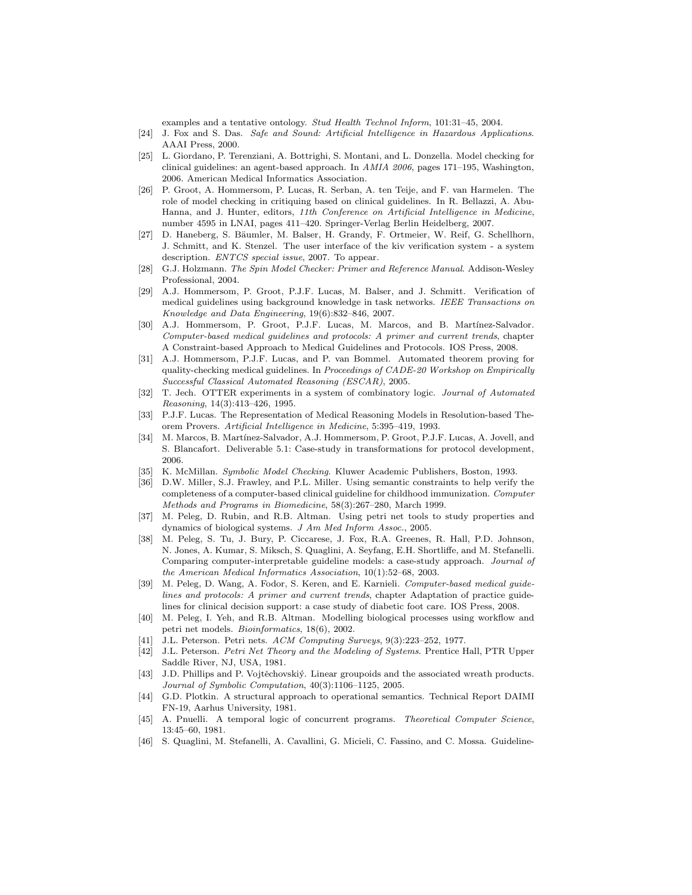examples and a tentative ontology. Stud Health Technol Inform, 101:31–45, 2004.

- [24] J. Fox and S. Das. Safe and Sound: Artificial Intelligence in Hazardous Applications. AAAI Press, 2000.
- [25] L. Giordano, P. Terenziani, A. Bottrighi, S. Montani, and L. Donzella. Model checking for clinical guidelines: an agent-based approach. In AMIA 2006, pages 171–195, Washington, 2006. American Medical Informatics Association.
- [26] P. Groot, A. Hommersom, P. Lucas, R. Serban, A. ten Teije, and F. van Harmelen. The role of model checking in critiquing based on clinical guidelines. In R. Bellazzi, A. Abu-Hanna, and J. Hunter, editors, 11th Conference on Artificial Intelligence in Medicine, number 4595 in LNAI, pages 411–420. Springer-Verlag Berlin Heidelberg, 2007.
- [27] D. Haneberg, S. Bäumler, M. Balser, H. Grandy, F. Ortmeier, W. Reif, G. Schellhorn, J. Schmitt, and K. Stenzel. The user interface of the kiv verification system - a system description. ENTCS special issue, 2007. To appear.
- [28] G.J. Holzmann. The Spin Model Checker: Primer and Reference Manual. Addison-Wesley Professional, 2004.
- [29] A.J. Hommersom, P. Groot, P.J.F. Lucas, M. Balser, and J. Schmitt. Verification of medical guidelines using background knowledge in task networks. IEEE Transactions on Knowledge and Data Engineering, 19(6):832–846, 2007.
- [30] A.J. Hommersom, P. Groot, P.J.F. Lucas, M. Marcos, and B. Martínez-Salvador. Computer-based medical guidelines and protocols: A primer and current trends, chapter A Constraint-based Approach to Medical Guidelines and Protocols. IOS Press, 2008.
- [31] A.J. Hommersom, P.J.F. Lucas, and P. van Bommel. Automated theorem proving for quality-checking medical guidelines. In Proceedings of CADE-20 Workshop on Empirically Successful Classical Automated Reasoning (ESCAR), 2005.
- [32] T. Jech. OTTER experiments in a system of combinatory logic. Journal of Automated Reasoning, 14(3):413–426, 1995.
- [33] P.J.F. Lucas. The Representation of Medical Reasoning Models in Resolution-based Theorem Provers. Artificial Intelligence in Medicine, 5:395–419, 1993.
- [34] M. Marcos, B. Martínez-Salvador, A.J. Hommersom, P. Groot, P.J.F. Lucas, A. Jovell, and S. Blancafort. Deliverable 5.1: Case-study in transformations for protocol development, 2006.
- [35] K. McMillan. Symbolic Model Checking. Kluwer Academic Publishers, Boston, 1993.
- [36] D.W. Miller, S.J. Frawley, and P.L. Miller. Using semantic constraints to help verify the completeness of a computer-based clinical guideline for childhood immunization. Computer Methods and Programs in Biomedicine, 58(3):267–280, March 1999.
- [37] M. Peleg, D. Rubin, and R.B. Altman. Using petri net tools to study properties and dynamics of biological systems. J Am Med Inform Assoc., 2005.
- [38] M. Peleg, S. Tu, J. Bury, P. Ciccarese, J. Fox, R.A. Greenes, R. Hall, P.D. Johnson, N. Jones, A. Kumar, S. Miksch, S. Quaglini, A. Seyfang, E.H. Shortliffe, and M. Stefanelli. Comparing computer-interpretable guideline models: a case-study approach. Journal of the American Medical Informatics Association, 10(1):52–68, 2003.
- [39] M. Peleg, D. Wang, A. Fodor, S. Keren, and E. Karnieli. Computer-based medical guidelines and protocols: A primer and current trends, chapter Adaptation of practice guidelines for clinical decision support: a case study of diabetic foot care. IOS Press, 2008.
- [40] M. Peleg, I. Yeh, and R.B. Altman. Modelling biological processes using workflow and petri net models. Bioinformatics, 18(6), 2002.
- [41] J.L. Peterson. Petri nets. ACM Computing Surveys, 9(3):223–252, 1977.
- [42] J.L. Peterson. Petri Net Theory and the Modeling of Systems. Prentice Hall, PTR Upper Saddle River, NJ, USA, 1981.
- [43] J.D. Phillips and P. Vojtěchovskiý. Linear groupoids and the associated wreath products. Journal of Symbolic Computation, 40(3):1106–1125, 2005.
- [44] G.D. Plotkin. A structural approach to operational semantics. Technical Report DAIMI FN-19, Aarhus University, 1981.
- [45] A. Pnuelli. A temporal logic of concurrent programs. Theoretical Computer Science, 13:45–60, 1981.
- [46] S. Quaglini, M. Stefanelli, A. Cavallini, G. Micieli, C. Fassino, and C. Mossa. Guideline-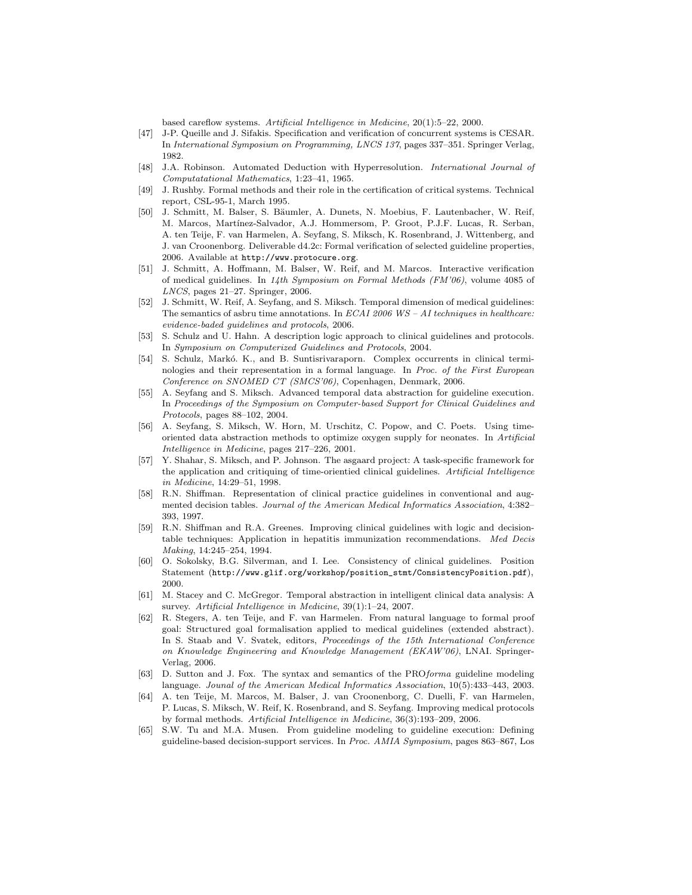based careflow systems. Artificial Intelligence in Medicine, 20(1):5–22, 2000.

- [47] J-P. Queille and J. Sifakis. Specification and verification of concurrent systems is CESAR. In International Symposium on Programming, LNCS 137, pages 337–351. Springer Verlag, 1982.
- [48] J.A. Robinson. Automated Deduction with Hyperresolution. International Journal of Computatational Mathematics, 1:23–41, 1965.
- [49] J. Rushby. Formal methods and their role in the certification of critical systems. Technical report, CSL-95-1, March 1995.
- [50] J. Schmitt, M. Balser, S. B¨aumler, A. Dunets, N. Moebius, F. Lautenbacher, W. Reif, M. Marcos, Martínez-Salvador, A.J. Hommersom, P. Groot, P.J.F. Lucas, R. Serban, A. ten Teije, F. van Harmelen, A. Seyfang, S. Miksch, K. Rosenbrand, J. Wittenberg, and J. van Croonenborg. Deliverable d4.2c: Formal verification of selected guideline properties, 2006. Available at http://www.protocure.org.
- [51] J. Schmitt, A. Hoffmann, M. Balser, W. Reif, and M. Marcos. Interactive verification of medical guidelines. In 14th Symposium on Formal Methods (FM'06), volume 4085 of LNCS, pages 21–27. Springer, 2006.
- [52] J. Schmitt, W. Reif, A. Seyfang, and S. Miksch. Temporal dimension of medical guidelines: The semantics of asbru time annotations. In ECAI 2006 WS – AI techniques in healthcare: evidence-baded guidelines and protocols, 2006.
- [53] S. Schulz and U. Hahn. A description logic approach to clinical guidelines and protocols. In Symposium on Computerized Guidelines and Protocols, 2004.
- [54] S. Schulz, Markó. K., and B. Suntisrivaraporn. Complex occurrents in clinical terminologies and their representation in a formal language. In Proc. of the First European Conference on SNOMED CT (SMCS'06), Copenhagen, Denmark, 2006.
- [55] A. Seyfang and S. Miksch. Advanced temporal data abstraction for guideline execution. In Proceedings of the Symposium on Computer-based Support for Clinical Guidelines and Protocols, pages 88–102, 2004.
- [56] A. Seyfang, S. Miksch, W. Horn, M. Urschitz, C. Popow, and C. Poets. Using timeoriented data abstraction methods to optimize oxygen supply for neonates. In Artificial Intelligence in Medicine, pages 217–226, 2001.
- [57] Y. Shahar, S. Miksch, and P. Johnson. The asgaard project: A task-specific framework for the application and critiquing of time-orientied clinical guidelines. Artificial Intelligence in Medicine, 14:29–51, 1998.
- [58] R.N. Shiffman. Representation of clinical practice guidelines in conventional and augmented decision tables. Journal of the American Medical Informatics Association, 4:382– 393, 1997.
- [59] R.N. Shiffman and R.A. Greenes. Improving clinical guidelines with logic and decisiontable techniques: Application in hepatitis immunization recommendations. Med Decis Making, 14:245–254, 1994.
- [60] O. Sokolsky, B.G. Silverman, and I. Lee. Consistency of clinical guidelines. Position Statement (http://www.glif.org/workshop/position\_stmt/ConsistencyPosition.pdf), 2000.
- [61] M. Stacey and C. McGregor. Temporal abstraction in intelligent clinical data analysis: A survey. Artificial Intelligence in Medicine, 39(1):1–24, 2007.
- [62] R. Stegers, A. ten Teije, and F. van Harmelen. From natural language to formal proof goal: Structured goal formalisation applied to medical guidelines (extended abstract). In S. Staab and V. Svatek, editors, Proceedings of the 15th International Conference on Knowledge Engineering and Knowledge Management (EKAW'06), LNAI. Springer-Verlag, 2006.
- [63] D. Sutton and J. Fox. The syntax and semantics of the PROforma guideline modeling language. Jounal of the American Medical Informatics Association, 10(5):433–443, 2003.
- [64] A. ten Teije, M. Marcos, M. Balser, J. van Croonenborg, C. Duelli, F. van Harmelen, P. Lucas, S. Miksch, W. Reif, K. Rosenbrand, and S. Seyfang. Improving medical protocols by formal methods. Artificial Intelligence in Medicine, 36(3):193–209, 2006.
- [65] S.W. Tu and M.A. Musen. From guideline modeling to guideline execution: Defining guideline-based decision-support services. In Proc. AMIA Symposium, pages 863–867, Los